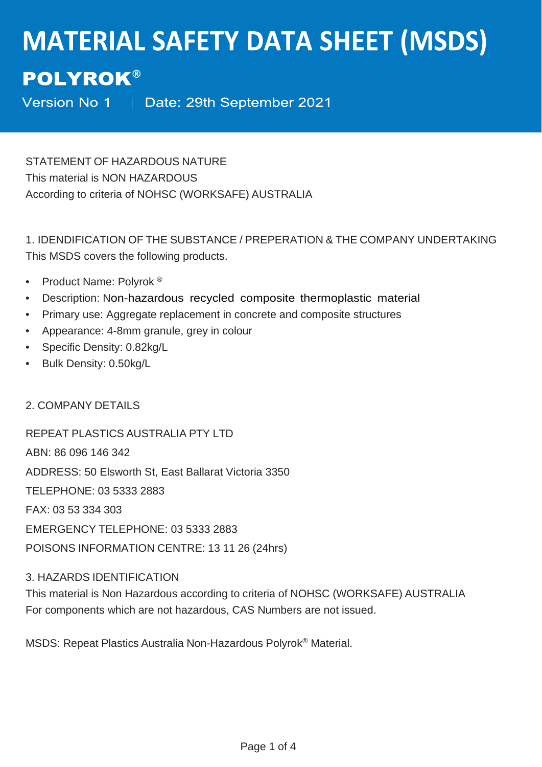# **MATERIAL SAFETY DATA SHEET (MSDS)**

# **POLYROK®**

Version No 1 | Date: 29th September 2021

STATEMENT OF HAZARDOUS NATURE This material is NON HAZARDOUS According to criteria of NOHSC (WORKSAFE) AUSTRALIA

1. IDENDIFICATION OF THE SUBSTANCE / PREPERATION & THE COMPANY UNDERTAKING This MSDS covers the following products.

- Product Name: Polyrok<sup>®</sup>
- Description: Non-hazardous recycled composite thermoplastic material
- Primary use: Aggregate replacement in concrete and composite structures
- Appearance: 4-8mm granule, grey in colour
- Specific Density: 0.82kg/L
- Bulk Density: 0.50kg/L

2. COMPANY DETAILS

REPEAT PLASTICS AUSTRALIA PTY LTD ABN: 86 096 146 342 ADDRESS: 50 Elsworth St, East Ballarat Victoria 3350 TELEPHONE: 03 5333 2883 FAX: 03 53 334 303 EMERGENCY TELEPHONE: 03 5333 2883 POISONS INFORMATION CENTRE: 13 11 26 (24hrs)

# 3. HAZARDS IDENTIFICATION

This material is Non Hazardous according to criteria of NOHSC (WORKSAFE) AUSTRALIA For components which are not hazardous, CAS Numbers are not issued.

MSDS: Repeat Plastics Australia Non-Hazardous Polyrok® Material.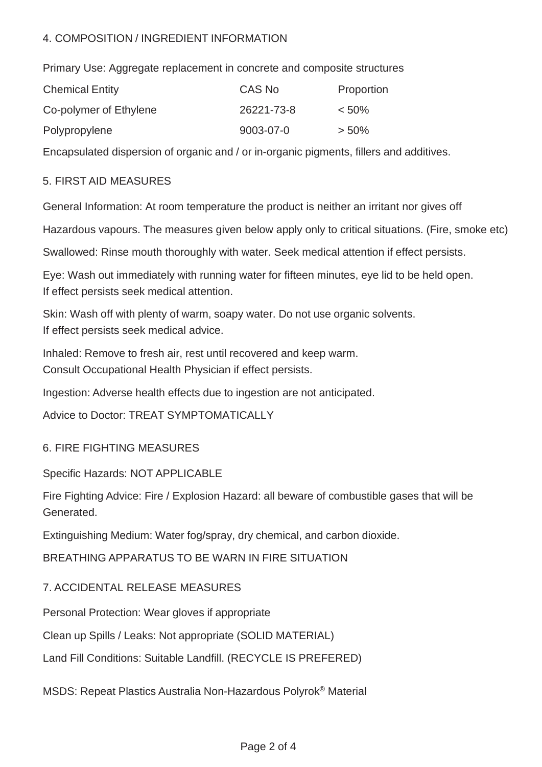# 4. COMPOSITION / INGREDIENT INFORMATION

Primary Use: Aggregate replacement in concrete and composite structures

| <b>Chemical Entity</b> | CAS No     | Proportion |
|------------------------|------------|------------|
| Co-polymer of Ethylene | 26221-73-8 | $< 50\%$   |
| Polypropylene          | 9003-07-0  | $> 50\%$   |

Encapsulated dispersion of organic and / or in-organic pigments, fillers and additives.

# 5. FIRST AID MEASURES

General Information: At room temperature the product is neither an irritant nor gives off

Hazardous vapours. The measures given below apply only to critical situations. (Fire, smoke etc)

Swallowed: Rinse mouth thoroughly with water. Seek medical attention if effect persists.

Eye: Wash out immediately with running water for fifteen minutes, eye lid to be held open. If effect persists seek medical attention.

Skin: Wash off with plenty of warm, soapy water. Do not use organic solvents. If effect persists seek medical advice.

Inhaled: Remove to fresh air, rest until recovered and keep warm. Consult Occupational Health Physician if effect persists.

Ingestion: Adverse health effects due to ingestion are not anticipated.

Advice to Doctor: TREAT SYMPTOMATICALLY

# 6. FIRE FIGHTING MEASURES

Specific Hazards: NOT APPLICABLE

Fire Fighting Advice: Fire / Explosion Hazard: all beware of combustible gases that will be Generated.

Extinguishing Medium: Water fog/spray, dry chemical, and carbon dioxide.

BREATHING APPARATUS TO BE WARN IN FIRE SITUATION

# 7. ACCIDENTAL RELEASE MEASURES

Personal Protection: Wear gloves if appropriate

Clean up Spills / Leaks: Not appropriate (SOLID MATERIAL)

Land Fill Conditions: Suitable Landfill. (RECYCLE IS PREFERED)

MSDS: Repeat Plastics Australia Non-Hazardous Polyrok® Material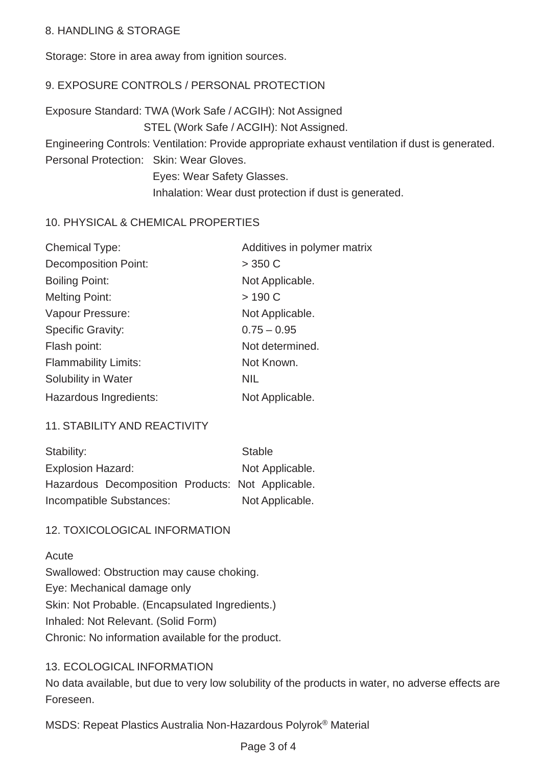## 8. HANDLING & STORAGE

Storage: Store in area away from ignition sources.

# 9. EXPOSURE CONTROLS / PERSONAL PROTECTION

Exposure Standard: TWA (Work Safe / ACGIH): Not Assigned STEL (Work Safe / ACGIH): Not Assigned. Engineering Controls: Ventilation: Provide appropriate exhaust ventilation if dust is generated. Personal Protection: Skin: Wear Gloves. Eyes: Wear Safety Glasses. Inhalation: Wear dust protection if dust is generated.

#### 10. PHYSICAL & CHEMICAL PROPERTIES

| <b>Chemical Type:</b>       | Additives in polymer matrix |
|-----------------------------|-----------------------------|
| <b>Decomposition Point:</b> | $>$ 350 C                   |
| <b>Boiling Point:</b>       | Not Applicable.             |
| <b>Melting Point:</b>       | >190 C                      |
| Vapour Pressure:            | Not Applicable.             |
| <b>Specific Gravity:</b>    | $0.75 - 0.95$               |
| Flash point:                | Not determined.             |
| <b>Flammability Limits:</b> | Not Known.                  |
| Solubility in Water         | <b>NIL</b>                  |
| Hazardous Ingredients:      | Not Applicable.             |

# 11. STABILITY AND REACTIVITY

| Stability:        |                                                   | <b>Stable</b> |                 |
|-------------------|---------------------------------------------------|---------------|-----------------|
| Explosion Hazard: |                                                   |               | Not Applicable. |
|                   | Hazardous Decomposition Products: Not Applicable. |               |                 |
|                   | Incompatible Substances:                          |               | Not Applicable. |

#### 12. TOXICOLOGICAL INFORMATION

#### **Acute**

Swallowed: Obstruction may cause choking. Eye: Mechanical damage only Skin: Not Probable. (Encapsulated Ingredients.) Inhaled: Not Relevant. (Solid Form) Chronic: No information available for the product.

# 13. ECOLOGICAL INFORMATION

No data available, but due to very low solubility of the products in water, no adverse effects are Foreseen.

MSDS: Repeat Plastics Australia Non-Hazardous Polyrok® Material